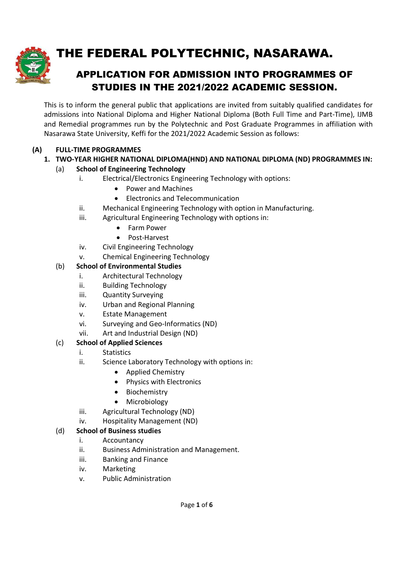

# THE FEDERAL POLYTECHNIC, NASARAWA.

## APPLICATION FOR ADMISSION INTO PROGRAMMES OF STUDIES IN THE 2021/2022 ACADEMIC SESSION.

This is to inform the general public that applications are invited from suitably qualified candidates for admissions into National Diploma and Higher National Diploma (Both Full Time and Part-Time), IJMB and Remedial programmes run by the Polytechnic and Post Graduate Programmes in affiliation with Nasarawa State University, Keffi for the 2021/2022 Academic Session as follows:

### (A) FULL-TIME PROGRAMMES

### 1. TWO-YEAR HIGHER NATIONAL DIPLOMA(HND) AND NATIONAL DIPLOMA (ND) PROGRAMMES IN:

### (a) School of Engineering Technology

- i. Electrical/Electronics Engineering Technology with options:
	- Power and Machines
	- Electronics and Telecommunication
- ii. Mechanical Engineering Technology with option in Manufacturing.
- iii. Agricultural Engineering Technology with options in:
	- **•** Farm Power
	- Post-Harvest
- iv. Civil Engineering Technology
- v. Chemical Engineering Technology

### (b) School of Environmental Studies

- i. Architectural Technology
- ii. Building Technology
- iii. Quantity Surveying
- iv. Urban and Regional Planning
- v. Estate Management
- vi. Surveying and Geo-Informatics (ND)
- vii. Art and Industrial Design (ND)

### (c) School of Applied Sciences

- i. Statistics
- ii. Science Laboratory Technology with options in:
	- Applied Chemistry
	- Physics with Electronics
	- Biochemistry
	- Microbiology
- iii. Agricultural Technology (ND)
- iv. Hospitality Management (ND)

### (d) School of Business studies

- i. Accountancy
- ii. Business Administration and Management.
- iii. Banking and Finance
- iv. Marketing
- v. Public Administration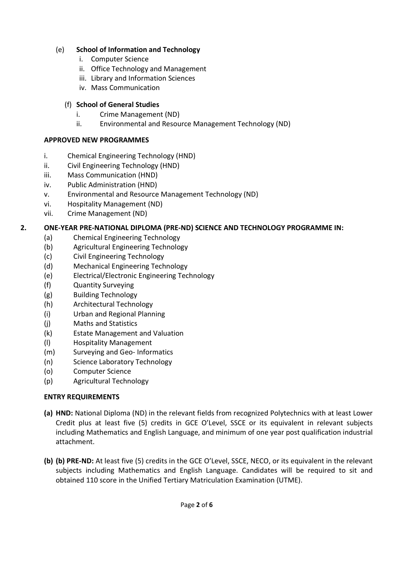### (e) School of Information and Technology

- i. Computer Science
- ii. Office Technology and Management
- iii. Library and Information Sciences
- iv. Mass Communication

### (f) School of General Studies

- i. Crime Management (ND)
- ii. Environmental and Resource Management Technology (ND)

### APPROVED NEW PROGRAMMES

- i. Chemical Engineering Technology (HND)
- ii. Civil Engineering Technology (HND)
- iii. Mass Communication (HND)
- iv. Public Administration (HND)
- v. Environmental and Resource Management Technology (ND)
- vi. Hospitality Management (ND)
- vii. Crime Management (ND)

### 2. ONE-YEAR PRE-NATIONAL DIPLOMA (PRE-ND) SCIENCE AND TECHNOLOGY PROGRAMME IN:

- (a) Chemical Engineering Technology
- (b) Agricultural Engineering Technology
- (c) Civil Engineering Technology
- (d) Mechanical Engineering Technology
- (e) Electrical/Electronic Engineering Technology
- (f) Quantity Surveying
- (g) Building Technology
- (h) Architectural Technology
- (i) Urban and Regional Planning
- (j) Maths and Statistics
- (k) Estate Management and Valuation
- (l) Hospitality Management
- (m) Surveying and Geo- Informatics
- (n) Science Laboratory Technology
- (o) Computer Science
- (p) Agricultural Technology

### ENTRY REQUIREMENTS

- (a) HND: National Diploma (ND) in the relevant fields from recognized Polytechnics with at least Lower Credit plus at least five (5) credits in GCE O'Level, SSCE or its equivalent in relevant subjects including Mathematics and English Language, and minimum of one year post qualification industrial attachment.
- (b) (b) PRE-ND: At least five (5) credits in the GCE O'Level, SSCE, NECO, or its equivalent in the relevant subjects including Mathematics and English Language. Candidates will be required to sit and obtained 110 score in the Unified Tertiary Matriculation Examination (UTME).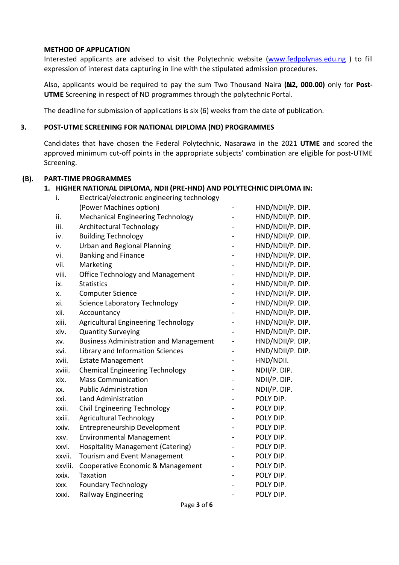#### METHOD OF APPLICATION

Interested applicants are advised to visit the Polytechnic website (www.fedpolynas.edu.ng) to fill expression of interest data capturing in line with the stipulated admission procedures.

Also, applicants would be required to pay the sum Two Thousand Naira (N2, 000.00) only for Post-UTME Screening in respect of ND programmes through the polytechnic Portal.

The deadline for submission of applications is six (6) weeks from the date of publication.

#### 3. POST-UTME SCREENING FOR NATIONAL DIPLOMA (ND) PROGRAMMES

Candidates that have chosen the Federal Polytechnic, Nasarawa in the 2021 UTME and scored the approved minimum cut-off points in the appropriate subjects' combination are eligible for post-UTME Screening.

#### (B). PART-TIME PROGRAMMES

#### 1. HIGHER NATIONAL DIPLOMA, NDII (PRE-HND) AND POLYTECHNIC DIPLOMA IN:

|         | HIGHER NATIONAL DIPLOMA, NDII (PRE-HND) AND POLYTECHNIC DIPLOMA IN: |                  |
|---------|---------------------------------------------------------------------|------------------|
| i.      | Electrical/electronic engineering technology                        |                  |
|         | (Power Machines option)                                             | HND/NDII/P. DIP. |
| ii.     | <b>Mechanical Engineering Technology</b>                            | HND/NDII/P. DIP. |
| iii.    | <b>Architectural Technology</b>                                     | HND/NDII/P. DIP. |
| iv.     | <b>Building Technology</b>                                          | HND/NDII/P. DIP. |
| ٧.      | <b>Urban and Regional Planning</b>                                  | HND/NDII/P. DIP. |
| vi.     | <b>Banking and Finance</b>                                          | HND/NDII/P. DIP. |
| vii.    | Marketing                                                           | HND/NDII/P. DIP. |
| viii.   | <b>Office Technology and Management</b>                             | HND/NDII/P. DIP. |
| ix.     | <b>Statistics</b>                                                   | HND/NDII/P. DIP. |
| x.      | <b>Computer Science</b>                                             | HND/NDII/P. DIP. |
| xi.     | <b>Science Laboratory Technology</b>                                | HND/NDII/P. DIP. |
| xii.    | Accountancy                                                         | HND/NDII/P. DIP. |
| xiii.   | <b>Agricultural Engineering Technology</b>                          | HND/NDII/P. DIP. |
| xiv.    | <b>Quantity Surveying</b>                                           | HND/NDII/P. DIP. |
| XV.     | <b>Business Administration and Management</b>                       | HND/NDII/P. DIP. |
| xvi.    | Library and Information Sciences                                    | HND/NDII/P. DIP. |
| xvii.   | <b>Estate Management</b>                                            | HND/NDII.        |
| xviii.  | <b>Chemical Engineering Technology</b>                              | NDII/P. DIP.     |
| xix.    | <b>Mass Communication</b>                                           | NDII/P. DIP.     |
| XX.     | <b>Public Administration</b>                                        | NDII/P. DIP.     |
| xxi.    | <b>Land Administration</b>                                          | POLY DIP.        |
| xxii.   | Civil Engineering Technology                                        | POLY DIP.        |
| xxiii.  | <b>Agricultural Technology</b>                                      | POLY DIP.        |
| xxiv.   | <b>Entrepreneurship Development</b>                                 | POLY DIP.        |
| XXV.    | <b>Environmental Management</b>                                     | POLY DIP.        |
| xxvi.   | <b>Hospitality Management (Catering)</b>                            | POLY DIP.        |
| xxvii.  | Tourism and Event Management                                        | POLY DIP.        |
| xxviii. | Cooperative Economic & Management                                   | POLY DIP.        |
| xxix.   | Taxation                                                            | POLY DIP.        |
| XXX.    | <b>Foundary Technology</b>                                          | POLY DIP.        |
| xxxi.   | <b>Railway Engineering</b>                                          | POLY DIP.        |
|         | Page 3 of 6                                                         |                  |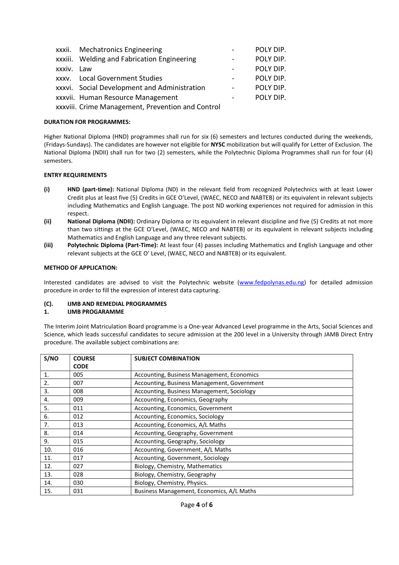|            | xxxii. Mechatronics Engineering                |                              | POLY DIP. |
|------------|------------------------------------------------|------------------------------|-----------|
|            | xxxiii. Welding and Fabrication Engineering    |                              | POLY DIP. |
| xxxiv. Law |                                                |                              | POLY DIP. |
|            | xxxv. Local Government Studies                 |                              | POLY DIP. |
|            | xxxvi. Social Development and Administration   | $\qquad \qquad \blacksquare$ | POLY DIP. |
|            | xxxvii. Human Resource Management              |                              | POLY DIP. |
|            | washii Crimo Managamant Droventian and Control |                              |           |

xxxviii. Crime Management, Prevention and Control

#### DURATION FOR PROGRAMMES:

Higher National Diploma (HND) programmes shall run for six (6) semesters and lectures conducted during the weekends, (Fridays-Sundays). The candidates are however not eligible for NYSC mobilization but will qualify for Letter of Exclusion. The National Diploma (NDII) shall run for two (2) semesters, while the Polytechnic Diploma Programmes shall run for four (4) semesters.

#### ENTRY REQUIREMENTS

- (i) HND (part-time): National Diploma (ND) in the relevant field from recognized Polytechnics with at least Lower Credit plus at least five (5) Credits in GCE O'Level, (WAEC, NECO and NABTEB) or its equivalent in relevant subjects including Mathematics and English Language. The post ND working experiences not required for admission in this respect.
- (ii) National Diploma (NDII): Ordinary Diploma or its equivalent in relevant discipline and five (5) Credits at not more than two sittings at the GCE O'Level, (WAEC, NECO and NABTEB) or its equivalent in relevant subjects including Mathematics and English Language and any three relevant subjects.
- (iii) Polytechnic Diploma (Part-Time): At least four (4) passes including Mathematics and English Language and other relevant subjects at the GCE O' Level, (WAEC, NECO and NABTEB) or its equivalent.

#### METHOD OF APPLICATION:

Interested candidates are advised to visit the Polytechnic website (www.fedpolynas.edu.ng) for detailed admission procedure in order to fill the expression of interest data capturing.

#### (C). IJMB AND REMEDIAL PROGRAMMES

#### 1. IJMB PROGARAMME

The Interim Joint Matriculation Board programme is a One-year Advanced Level programme in the Arts, Social Sciences and Science, which leads successful candidates to secure admission at the 200 level in a University through JAMB Direct Entry procedure. The available subject combinations are:

| S/NO | <b>COURSE</b> | <b>SUBJECT COMBINATION</b>                  |
|------|---------------|---------------------------------------------|
|      | <b>CODE</b>   |                                             |
| 1.   | 005           | Accounting, Business Management, Economics  |
| 2.   | 007           | Accounting, Business Management, Government |
| 3.   | 008           | Accounting, Business Management, Sociology  |
| 4.   | 009           | Accounting, Economics, Geography            |
| 5.   | 011           | Accounting, Economics, Government           |
| 6.   | 012           | Accounting, Economics, Sociology            |
| 7.   | 013           | Accounting, Economics, A/L Maths            |
| 8.   | 014           | Accounting, Geography, Government           |
| 9.   | 015           | Accounting, Geography, Sociology            |
| 10.  | 016           | Accounting, Government, A/L Maths           |
| 11.  | 017           | Accounting, Government, Sociology           |
| 12.  | 027           | Biology, Chemistry, Mathematics             |
| 13.  | 028           | Biology, Chemistry, Geography               |
| 14.  | 030           | Biology, Chemistry, Physics.                |
| 15.  | 031           | Business Management, Economics, A/L Maths   |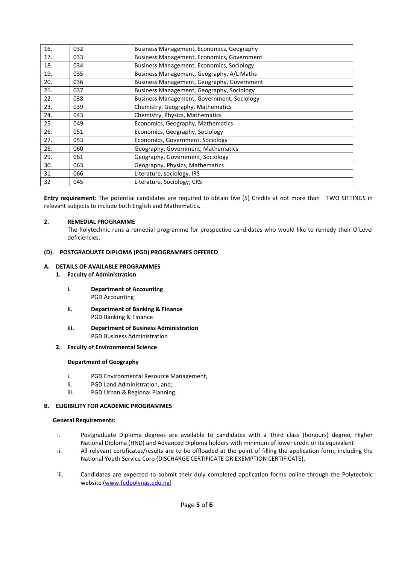| 16. | 032 | Business Management, Economics, Geography        |
|-----|-----|--------------------------------------------------|
| 17. | 033 | Business Management, Economics, Government       |
| 18. | 034 | <b>Business Management, Economics, Sociology</b> |
| 19. | 035 | Business Management, Geography, A/L Maths        |
| 20. | 036 | Business Management, Geography, Government       |
| 21. | 037 | Business Management, Geography, Sociology        |
| 22. | 038 | Business Management, Government, Sociology       |
| 23. | 039 | Chemistry, Geography, Mathematics                |
| 24. | 043 | Chemistry, Physics, Mathematics                  |
| 25. | 049 | Economics, Geography, Mathematics                |
| 26. | 051 | Economics, Geography, Sociology                  |
| 27. | 053 | Economics, Government, Sociology                 |
| 28. | 060 | Geography, Government, Mathematics               |
| 29. | 061 | Geography, Government, Sociology                 |
| 30. | 063 | Geography, Physics, Mathematics                  |
| 31  | 066 | Literature, sociology, IRS                       |
| 32  | 045 | Literature, Sociology, CRS                       |

Entry requirement: The potential candidates are required to obtain five (5) Credits at not more than TWO SITTINGS in relevant subjects to include both English and Mathematics.

#### 2. REMEDIAL PROGRAMME

The Polytechnic runs a remedial programme for prospective candidates who would like to remedy their O'Level deficiencies.

#### (D). POSTGRADUATE DIPLOMA (PGD) PROGRAMMES OFFERED

#### A. DETAILS OF AVAILABLE PROGRAMMES

- 1. Faculty of Administration
	- i. Department of Accounting PGD Accounting
	- ii. Department of Banking & Finance PGD Banking & Finance
	- iii. Department of Business Administration PGD Business Administration
- 2. Faculty of Environmental Science

#### Department of Geography

- i. PGD Environmental Resource Management,
- ii. PGD Land Administration, and;
- iii. PGD Urban & Regional Planning.

#### B. ELIGIBILITY FOR ACADEMIC PROGRAMMES

#### General Requirements:

- i. Postgraduate Diploma degrees are available to candidates with a Third class (honours) degree, Higher National Diploma (HND) and Advanced Diploma holders with minimum of lower credit or its equivalent
- ii. All relevant certificates/results are to be offloaded at the point of filling the application form, including the National Youth Service Corp (DISCHARGE CERTIFICATE OR EXEMPTION CERTIFICATE).
- iii. Candidates are expected to submit their duly completed application forms online through the Polytechnic website (www.fedpolynas.edu.ng)